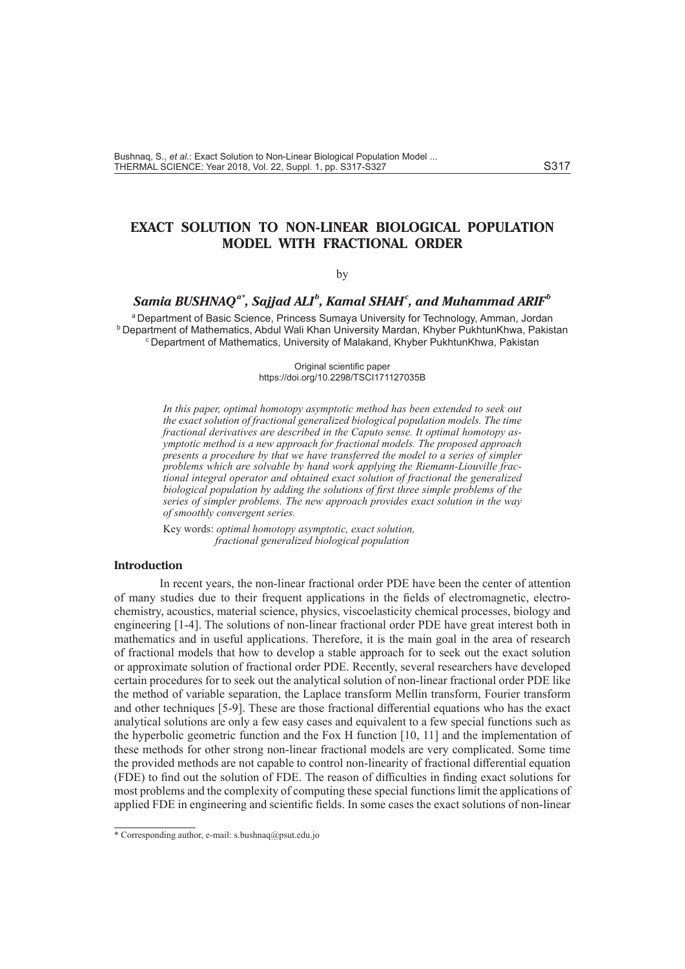# **EXACT SOLUTION TO NON-LINEAR BIOLOGICAL POPULATION MODEL WITH FRACTIONAL ORDER**

#### by

# $\boldsymbol{S}$ amia BUSHNAQ $^{a*}$ , Sajjad ALI $^{b}$ , Kamal SHAH $^{c}$ , and Muhammad ARIF $^{b}$

a Department of Basic Science, Princess Sumaya University for Technology, Amman, Jordan b Department of Mathematics, Abdul Wali Khan University Mardan, Khyber PukhtunKhwa, Pakistan c Department of Mathematics, University of Malakand, Khyber PukhtunKhwa, Pakistan

> Original scientific paper https://doi.org/10.2298/TSCI171127035B

*In this paper, optimal homotopy asymptotic method has been extended to seek out the exact solution of fractional generalized biological population models. The time fractional derivatives are described in the Caputo sense. It optimal homotopy asymptotic method is a new approach for fractional models. The proposed approach presents a procedure by that we have transferred the model to a series of simpler problems which are solvable by hand work applying the Riemann-Liouville fractional integral operator and obtained exact solution of fractional the generalized biological population by adding the solutions of first three simple problems of the series of simpler problems. The new approach provides exact solution in the way of smoothly convergent series.* 

Key words: *optimal homotopy asymptotic, exact solution, fractional generalized biological population*

# **Introduction**

In recent years, the non-linear fractional order PDE have been the center of attention of many studies due to their frequent applications in the fields of electromagnetic, electrochemistry, acoustics, material science, physics, viscoelasticity chemical processes, biology and engineering [1-4]. The solutions of non-linear fractional order PDE have great interest both in mathematics and in useful applications. Therefore, it is the main goal in the area of research of fractional models that how to develop a stable approach for to seek out the exact solution or approximate solution of fractional order PDE. Recently, several researchers have developed certain procedures for to seek out the analytical solution of non-linear fractional order PDE like the method of variable separation, the Laplace transform Mellin transform, Fourier transform and other techniques [5-9]. These are those fractional differential equations who has the exact analytical solutions are only a few easy cases and equivalent to a few special functions such as the hyperbolic geometric function and the Fox H function [10, 11] and the implementation of these methods for other strong non-linear fractional models are very complicated. Some time the provided methods are not capable to control non-linearity of fractional differential equation (FDE) to find out the solution of FDE. The reason of difficulties in finding exact solutions for most problems and the complexity of computing these special functions limit the applications of applied FDE in engineering and scientific fields. In some cases the exact solutions of non-linear

<sup>\*</sup> Corresponding author, e-mail: s.bushnaq@psut.edu.jo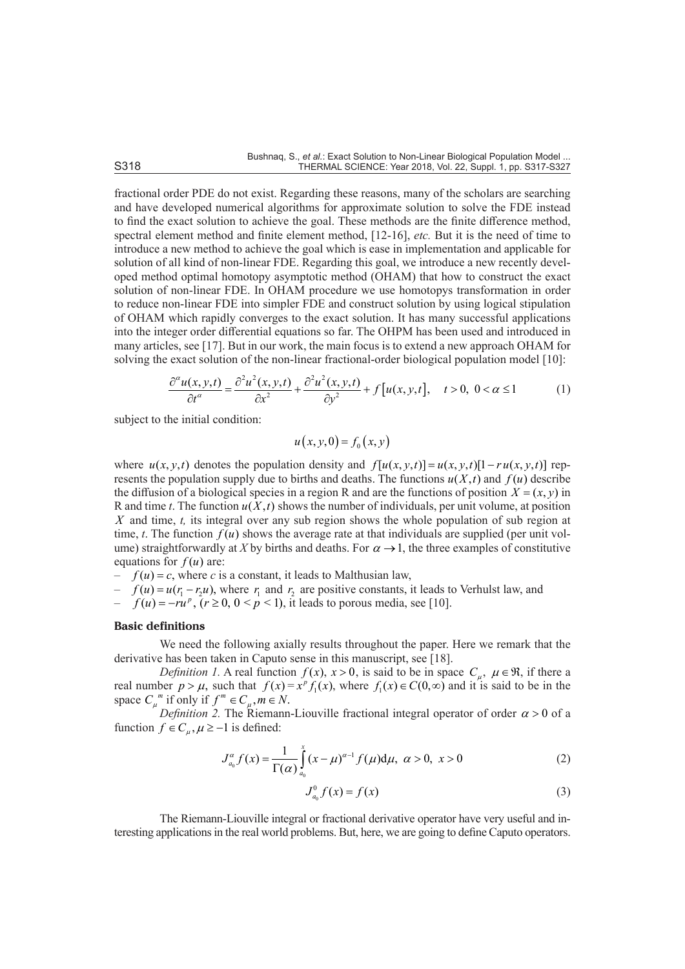fractional order PDE do not exist. Regarding these reasons, many of the scholars are searching and have developed numerical algorithms for approximate solution to solve the FDE instead to find the exact solution to achieve the goal. These methods are the finite difference method, spectral element method and finite element method, [12-16], *etc.* But it is the need of time to introduce a new method to achieve the goal which is ease in implementation and applicable for solution of all kind of non-linear FDE. Regarding this goal, we introduce a new recently developed method optimal homotopy asymptotic method (OHAM) that how to construct the exact solution of non-linear FDE. In OHAM procedure we use homotopys transformation in order to reduce non-linear FDE into simpler FDE and construct solution by using logical stipulation of OHAM which rapidly converges to the exact solution. It has many successful applications into the integer order differential equations so far. The OHPM has been used and introduced in many articles, see [17]. But in our work, the main focus is to extend a new approach OHAM for solving the exact solution of the non-linear fractional-order biological population model [10]:

$$
\frac{\partial^{\alpha} u(x, y, t)}{\partial t^{\alpha}} = \frac{\partial^2 u^2(x, y, t)}{\partial x^2} + \frac{\partial^2 u^2(x, y, t)}{\partial y^2} + f[u(x, y, t], t > 0, 0 < \alpha \le 1
$$
 (1)

subject to the initial condition:

$$
u(x, y, 0) = f_0(x, y)
$$

where  $u(x, y, t)$  denotes the population density and  $f[u(x, y, t)]=u(x, y, t)[1-ru(x, y, t)]$  represents the population supply due to births and deaths. The functions  $u(X,t)$  and  $f(u)$  describe the diffusion of a biological species in a region R and are the functions of position  $X = (x, y)$  in R and time *t*. The function  $u(X,t)$  shows the number of individuals, per unit volume, at position *X* and time, *t,* its integral over any sub region shows the whole population of sub region at time, *t*. The function  $f(u)$  shows the average rate at that individuals are supplied (per unit volume) straightforwardly at *X* by births and deaths. For  $\alpha \rightarrow 1$ , the three examples of constitutive equations for  $f(u)$  are:

- $f(u) = c$ , where *c* is a constant, it leads to Malthusian law,
- $f(u) = u(r_1 r_2 u)$ , where  $r_1$  and  $r_2$  are positive constants, it leads to Verhulst law, and
- $f(u) = -ru^p$ ,  $(r \ge 0, 0 \le p \le 1)$ , it leads to porous media, see [10].

#### **Basic definitions**

We need the following axially results throughout the paper. Here we remark that the derivative has been taken in Caputo sense in this manuscript, see [18].

*Definition 1.* A real function  $f(x)$ ,  $x > 0$ , is said to be in space  $C_u$ ,  $\mu \in \mathbb{R}$ , if there a real number  $p > \mu$ , such that  $f(x) = x^{\rho} f_1(x)$ , where  $f_1(x) \in C(0, \infty)$  and it is said to be in the space  $C_{\mu}^{m}$  if only if  $f^{m} \in C_{\mu}$ ,  $m \in N$ .

*Definition 2.* The Riemann-Liouville fractional integral operator of order  $\alpha > 0$  of a function  $f \in C_u$ ,  $\mu \ge -1$  is defined:

$$
J_{a_0}^{\alpha} f(x) = \frac{1}{\Gamma(\alpha)} \int_{a_0}^{x} (x - \mu)^{\alpha - 1} f(\mu) d\mu, \ \alpha > 0, \ x > 0
$$
 (2)

$$
J_{a_0}^0 f(x) = f(x)
$$
 (3)

The Riemann-Liouville integral or fractional derivative operator have very useful and interesting applications in the real world problems. But, here, we are going to define Caputo operators.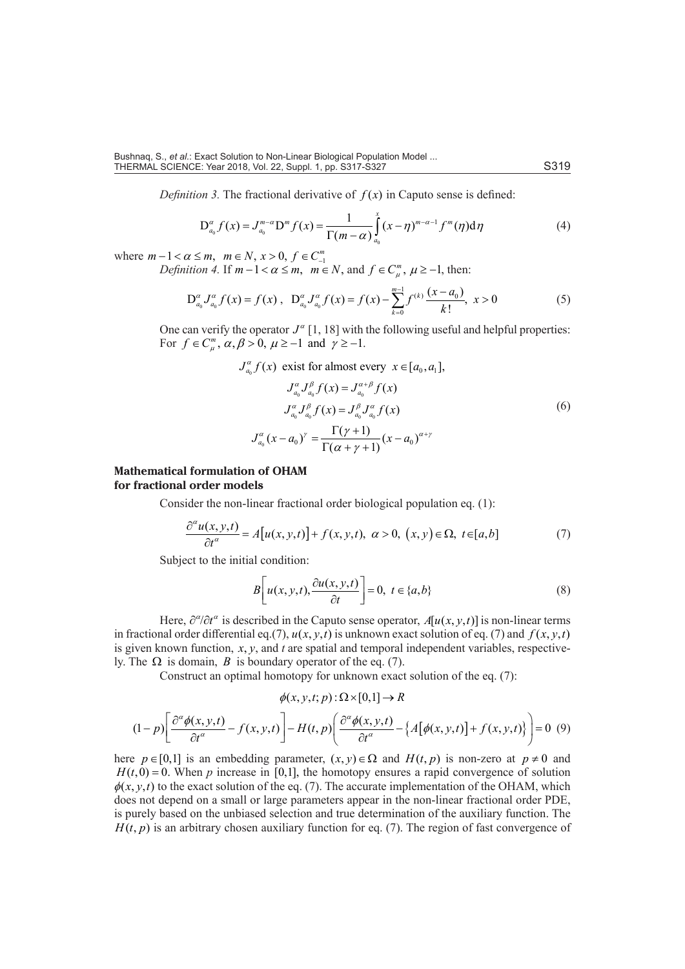*Definition 3.* The fractional derivative of  $f(x)$  in Caputo sense is defined:

$$
D_{a_0}^{\alpha} f(x) = J_{a_0}^{m-\alpha} D^m f(x) = \frac{1}{\Gamma(m-\alpha)} \int_{a_0}^{x} (x-\eta)^{m-\alpha-1} f^m(\eta) d\eta
$$
 (4)

where  $m - 1 < \alpha \le m$ ,  $m \in N$ ,  $x > 0$ ,  $f \in C_{-1}^{m}$ 

*Definition 4.* If  $m-1 < \alpha \le m$ ,  $m \in N$ , and  $f \in C_{\mu}^{m}$ ,  $\mu \ge -1$ , then:

$$
D_{a_0}^{\alpha} J_{a_0}^{\alpha} f(x) = f(x), \quad D_{a_0}^{\alpha} J_{a_0}^{\alpha} f(x) = f(x) - \sum_{k=0}^{m-1} f^{(k)} \frac{(x - a_0)}{k!}, \quad x > 0 \tag{5}
$$

One can verify the operator  $J^{\alpha}[1, 18]$  with the following useful and helpful properties: For  $f \in C_{\mu}^{m}$ ,  $\alpha, \beta > 0$ ,  $\mu \ge -1$  and  $\gamma \ge -1$ .

$$
J_{a_0}^{\alpha} f(x) \text{ exist for almost every } x \in [a_0, a_1],
$$
  
\n
$$
J_{a_0}^{\alpha} J_{a_0}^{\beta} f(x) = J_{a_0}^{\alpha+\beta} f(x)
$$
  
\n
$$
J_{a_0}^{\alpha} J_{a_0}^{\beta} f(x) = J_{a_0}^{\beta} J_{a_0}^{\alpha} f(x)
$$
  
\n
$$
J_{a_0}^{\alpha} (x - a_0)^{\gamma} = \frac{\Gamma(\gamma + 1)}{\Gamma(\alpha + \gamma + 1)} (x - a_0)^{\alpha + \gamma}
$$
 (6)

## **Mathematical formulation of OHAM for fractional order models**

Consider the non-linear fractional order biological population eq. (1):

$$
\frac{\partial^{\alpha} u(x, y, t)}{\partial t^{\alpha}} = A[u(x, y, t)] + f(x, y, t), \ \alpha > 0, \ (x, y) \in \Omega, \ t \in [a, b]
$$
\n
$$
(7)
$$

Subject to the initial condition:

$$
B\left[u(x, y, t), \frac{\partial u(x, y, t)}{\partial t}\right] = 0, \ t \in \{a, b\}
$$
 (8)

Here,  $\partial^{\alpha}/\partial t^{\alpha}$  is described in the Caputo sense operator,  $A[u(x, y, t)]$  is non-linear terms in fractional order differential eq.(7),  $u(x, y, t)$  is unknown exact solution of eq. (7) and  $f(x, y, t)$ is given known function,  $x, y$ , and  $t$  are spatial and temporal independent variables, respectively. The  $\Omega$  is domain, *B* is boundary operator of the eq. (7).

Construct an optimal homotopy for unknown exact solution of the eq. (7):

$$
\phi(x, y, t; p): \Omega \times [0,1] \to R
$$
  

$$
(1-p) \left[ \frac{\partial^{\alpha} \phi(x, y, t)}{\partial t^{\alpha}} - f(x, y, t) \right] - H(t, p) \left( \frac{\partial^{\alpha} \phi(x, y, t)}{\partial t^{\alpha}} - \left\{ A[\phi(x, y, t)] + f(x, y, t) \right\} \right) = 0
$$
 (9)

here  $p \in [0,1]$  is an embedding parameter,  $(x, y) \in \Omega$  and  $H(t, p)$  is non-zero at  $p \neq 0$  and  $H(t, 0) = 0$ . When *p* increase in [0,1], the homotopy ensures a rapid convergence of solution  $\phi(x, y, t)$  to the exact solution of the eq. (7). The accurate implementation of the OHAM, which does not depend on a small or large parameters appear in the non-linear fractional order PDE, is purely based on the unbiased selection and true determination of the auxiliary function. The  $H(t, p)$  is an arbitrary chosen auxiliary function for eq. (7). The region of fast convergence of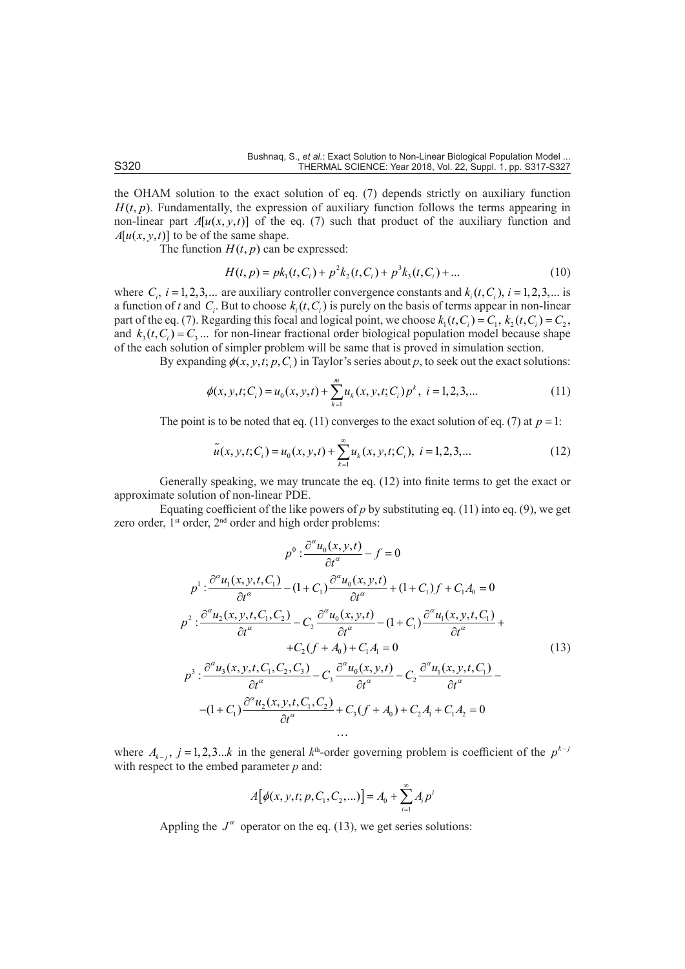the OHAM solution to the exact solution of eq. (7) depends strictly on auxiliary function  $H(t, p)$ . Fundamentally, the expression of auxiliary function follows the terms appearing in non-linear part  $A[u(x, y, t)]$  of the eq. (7) such that product of the auxiliary function and  $A[u(x, y, t)]$  to be of the same shape.

The function  $H(t, p)$  can be expressed:

$$
H(t, p) = pk_1(t, C_i) + p^2k_2(t, C_i) + p^3k_3(t, C_i) + \dots
$$
 (10)

where  $C_i$ ,  $i = 1, 2, 3, ...$  are auxiliary controller convergence constants and  $k_i(t, C_i)$ ,  $i = 1, 2, 3, ...$  is a function of *t* and  $C_i$ . But to choose  $k_i(t, C_i)$  is purely on the basis of terms appear in non-linear part of the eq. (7). Regarding this focal and logical point, we choose  $k_1(t, C_i) = C_1$ ,  $k_2(t, C_i) = C_2$ , and  $k_3(t, C_i) = C_3$ ... for non-linear fractional order biological population model because shape of the each solution of simpler problem will be same that is proved in simulation section.

By expanding  $\phi(x, y, t; p, C)$  in Taylor's series about p, to seek out the exact solutions:

$$
\phi(x, y, t; C_i) = u_0(x, y, t) + \sum_{k=1}^{m} u_k(x, y, t; C_i) p^k, \quad i = 1, 2, 3, \dots
$$
\n(11)

The point is to be noted that eq. (11) converges to the exact solution of eq. (7) at  $p = 1$ :

$$
\tilde{u}(x, y, t; C_i) = u_0(x, y, t) + \sum_{k=1}^{\infty} u_k(x, y, t; C_i), \quad i = 1, 2, 3, \dots
$$
\n(12)

Generally speaking, we may truncate the eq. (12) into finite terms to get the exact or approximate solution of non-linear PDE.

Equating coefficient of the like powers of  $p$  by substituting eq. (11) into eq. (9), we get zero order, 1<sup>st</sup> order, 2<sup>nd</sup> order and high order problems:

$$
p^{0}: \frac{\partial^{a} u_{0}(x, y, t)}{\partial t^{a}} - f = 0
$$
\n
$$
p^{1}: \frac{\partial^{a} u_{1}(x, y, t, C_{1})}{\partial t^{a}} - (1 + C_{1}) \frac{\partial^{a} u_{0}(x, y, t)}{\partial t^{a}} + (1 + C_{1}) f + C_{1} A_{0} = 0
$$
\n
$$
p^{2}: \frac{\partial^{a} u_{2}(x, y, t, C_{1}, C_{2})}{\partial t^{a}} - C_{2} \frac{\partial^{a} u_{0}(x, y, t)}{\partial t^{a}} - (1 + C_{1}) \frac{\partial^{a} u_{1}(x, y, t, C_{1})}{\partial t^{a}} + C_{2} (f + A_{0}) + C_{1} A_{1} = 0
$$
\n
$$
p^{3}: \frac{\partial^{a} u_{3}(x, y, t, C_{1}, C_{2}, C_{3})}{\partial t^{a}} - C_{3} \frac{\partial^{a} u_{0}(x, y, t)}{\partial t^{a}} - C_{2} \frac{\partial^{a} u_{1}(x, y, t, C_{1})}{\partial t^{a}} - (1 + C_{1}) \frac{\partial^{a} u_{2}(x, y, t, C_{1}, C_{2})}{\partial t^{a}} + C_{3} (f + A_{0}) + C_{2} A_{1} + C_{1} A_{2} = 0
$$
\n...

where  $A_{k-j}$ ,  $j = 1,2,3...k$  in the general  $k^{\text{th}}$ -order governing problem is coefficient of the  $p^{k-j}$ with respect to the embed parameter *p* and:

$$
A[\phi(x, y, t; p, C_1, C_2, \ldots)] = A_0 + \sum_{i=1}^{\infty} A_i p^i
$$

Appling the  $J^{\alpha}$  operator on the eq. (13), we get series solutions: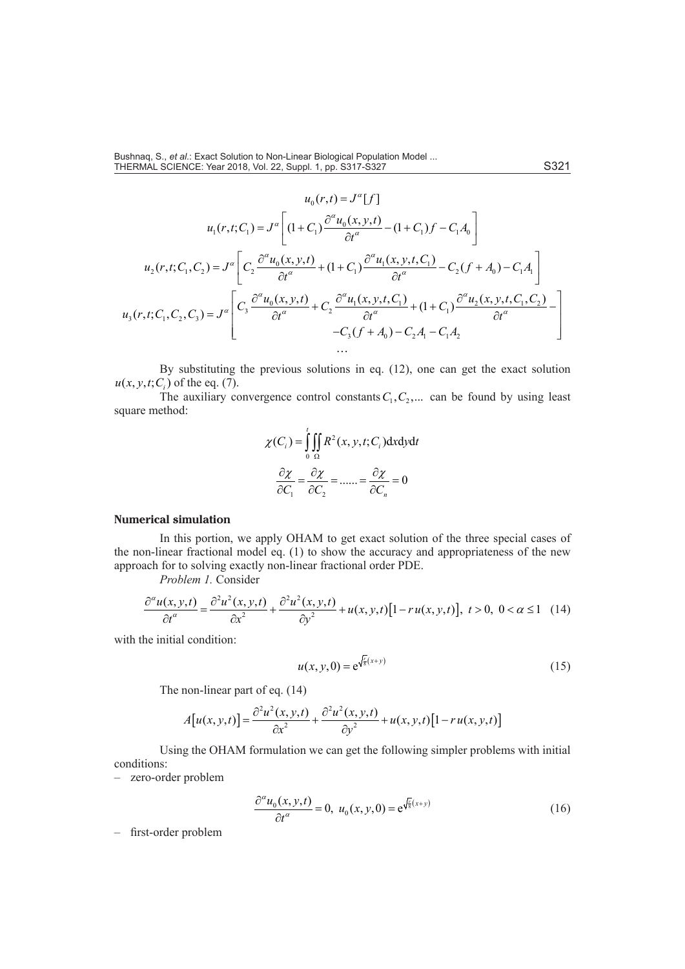$$
u_{0}(r,t) = J^{\alpha}[f]
$$
\n
$$
u_{1}(r,t;C_{1}) = J^{\alpha}\left[ (1 + C_{1}) \frac{\partial^{\alpha} u_{0}(x,y,t)}{\partial t^{\alpha}} - (1 + C_{1})f - C_{1}A_{0} \right]
$$
\n
$$
u_{2}(r,t;C_{1},C_{2}) = J^{\alpha}\left[ C_{2} \frac{\partial^{\alpha} u_{0}(x,y,t)}{\partial t^{\alpha}} + (1 + C_{1}) \frac{\partial^{\alpha} u_{1}(x,y,t,C_{1})}{\partial t^{\alpha}} - C_{2}(f + A_{0}) - C_{1}A_{1} \right]
$$
\n
$$
u_{3}(r,t;C_{1},C_{2},C_{3}) = J^{\alpha}\left[ C_{3} \frac{\partial^{\alpha} u_{0}(x,y,t)}{\partial t^{\alpha}} + C_{2} \frac{\partial^{\alpha} u_{1}(x,y,t,C_{1})}{\partial t^{\alpha}} + (1 + C_{1}) \frac{\partial^{\alpha} u_{2}(x,y,t,C_{1},C_{2})}{\partial t^{\alpha}} - C_{3}(f + A_{0}) - C_{2}A_{1} - C_{1}A_{2} \right]
$$

By substituting the previous solutions in eq. (12), one can get the exact solution  $u(x, y, t; C<sub>i</sub>)$  of the eq. (7).

The auxiliary convergence control constants  $C_1, C_2, ...$  can be found by using least square method:

$$
\chi(C_i) = \int_0^t \iint_{\Omega} R^2(x, y, t; C_i) \, dx \, dy \, dt
$$

$$
\frac{\partial \chi}{\partial C_1} = \frac{\partial \chi}{\partial C_2} = \dots = \frac{\partial \chi}{\partial C_n} = 0
$$

#### **Numerical simulation**

In this portion, we apply OHAM to get exact solution of the three special cases of the non-linear fractional model eq. (1) to show the accuracy and appropriateness of the new approach for to solving exactly non-linear fractional order PDE.

*Problem 1.* Consider

$$
\frac{\partial^{\alpha}u(x,y,t)}{\partial t^{\alpha}} = \frac{\partial^2 u^2(x,y,t)}{\partial x^2} + \frac{\partial^2 u^2(x,y,t)}{\partial y^2} + u(x,y,t)[1 - ru(x,y,t)], \ t > 0, \ 0 < \alpha \le 1 \quad (14)
$$

with the initial condition:

$$
u(x, y, 0) = e^{\sqrt{\frac{r}{8}}(x+y)}
$$
\n(15)

The non-linear part of eq. (14)

$$
A[u(x, y, t)] = \frac{\partial^2 u^2(x, y, t)}{\partial x^2} + \frac{\partial^2 u^2(x, y, t)}{\partial y^2} + u(x, y, t)[1 - ru(x, y, t)]
$$

Using the OHAM formulation we can get the following simpler problems with initial conditions:

– zero-order problem

$$
\frac{\partial^{\alpha} u_0(x, y, t)}{\partial t^{\alpha}} = 0, \ u_0(x, y, 0) = e^{\sqrt{\frac{t}{8}}(x+y)} \tag{16}
$$

– first-order problem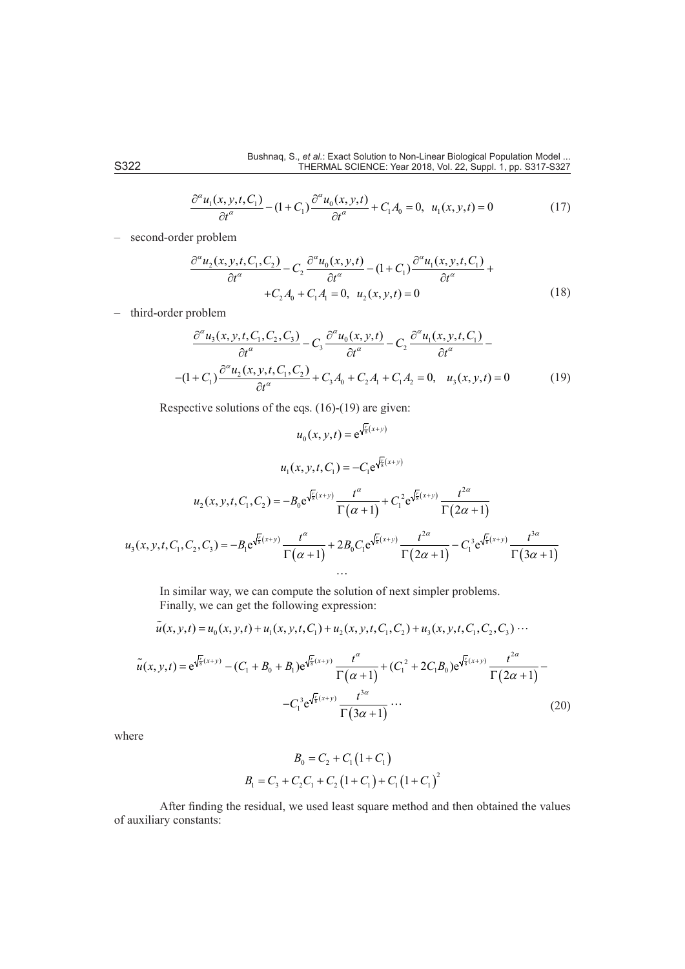$$
\frac{\partial^{\alpha} u_1(x, y, t, C_1)}{\partial t^{\alpha}} - (1 + C_1) \frac{\partial^{\alpha} u_0(x, y, t)}{\partial t^{\alpha}} + C_1 A_0 = 0, \ u_1(x, y, t) = 0
$$
\n(17)

– second-order problem

$$
\frac{\partial^{\alpha} u_2(x, y, t, C_1, C_2)}{\partial t^{\alpha}} - C_2 \frac{\partial^{\alpha} u_0(x, y, t)}{\partial t^{\alpha}} - (1 + C_1) \frac{\partial^{\alpha} u_1(x, y, t, C_1)}{\partial t^{\alpha}} + C_2 A_0 + C_1 A_1 = 0, \ u_2(x, y, t) = 0
$$
\n(18)

– third-order problem

$$
\frac{\partial^{\alpha} u_3(x, y, t, C_1, C_2, C_3)}{\partial t^{\alpha}} - C_3 \frac{\partial^{\alpha} u_0(x, y, t)}{\partial t^{\alpha}} - C_2 \frac{\partial^{\alpha} u_1(x, y, t, C_1)}{\partial t^{\alpha}} - \frac{1 + C_1 \partial^{\alpha} u_2(x, y, t, C_1, C_2)}{\partial t^{\alpha}} + C_3 A_0 + C_2 A_1 + C_1 A_2 = 0, \quad u_3(x, y, t) = 0 \tag{19}
$$

Respective solutions of the eqs. (16)-(19) are given:

$$
u_0(x, y, t) = e^{\sqrt{\frac{t}{8}}(x+y)}
$$
  
\n
$$
u_1(x, y, t, C_1) = -C_1 e^{\sqrt{\frac{t}{8}}(x+y)}
$$
  
\n
$$
u_2(x, y, t, C_1, C_2) = -B_0 e^{\sqrt{\frac{t}{8}}(x+y)} \frac{t^{\alpha}}{\Gamma(\alpha+1)} + C_1^2 e^{\sqrt{\frac{t}{8}}(x+y)} \frac{t^{2\alpha}}{\Gamma(2\alpha+1)}
$$
  
\n
$$
u_3(x, y, t, C_1, C_2, C_3) = -B_1 e^{\sqrt{\frac{t}{8}}(x+y)} \frac{t^{\alpha}}{\Gamma(\alpha+1)} + 2B_0 C_1 e^{\sqrt{\frac{t}{8}}(x+y)} \frac{t^{2\alpha}}{\Gamma(2\alpha+1)} - C_1^3 e^{\sqrt{\frac{t}{8}}(x+y)} \frac{t^{3\alpha}}{\Gamma(3\alpha+1)}
$$
  
\n...

In similar way, we can compute the solution of next simpler problems. Finally, we can get the following expression:

$$
\widetilde{u}(x, y, t) = u_0(x, y, t) + u_1(x, y, t, C_1) + u_2(x, y, t, C_1, C_2) + u_3(x, y, t, C_1, C_2, C_3) \cdots
$$

$$
\tilde{u}(x, y, t) = e^{\sqrt{\frac{t}{8}}(x+y)} - (C_1 + B_0 + B_1)e^{\sqrt{\frac{t}{8}}(x+y)} \frac{t^{\alpha}}{\Gamma(\alpha+1)} + (C_1^2 + 2C_1B_0)e^{\sqrt{\frac{t}{8}}(x+y)} \frac{t^{2\alpha}}{\Gamma(2\alpha+1)} -
$$
  

$$
-C_1^3 e^{\sqrt{\frac{t}{8}}(x+y)} \frac{t^{3\alpha}}{\Gamma(3\alpha+1)} \cdots
$$
 (20)

where

$$
B_0 = C_2 + C_1 (1 + C_1)
$$
  

$$
B_1 = C_3 + C_2 C_1 + C_2 (1 + C_1) + C_1 (1 + C_1)^2
$$

After finding the residual, we used least square method and then obtained the values of auxiliary constants: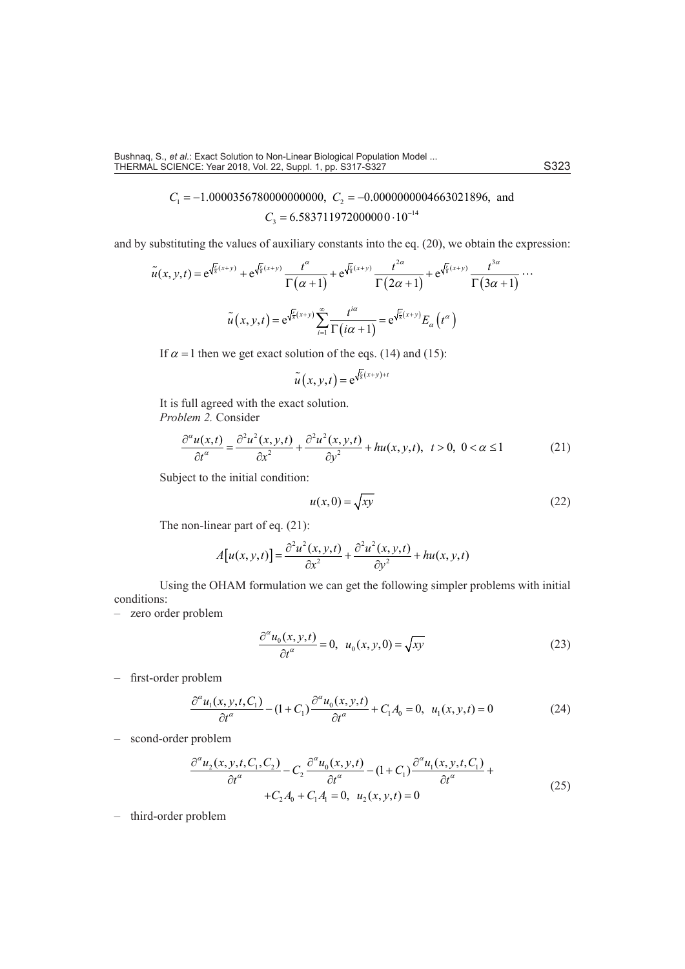$C_1 = -1.0000356780000000000$ ,  $C_2 = -0.0000000004663021896$ , and  $C_3 = 6.583711972000000 \cdot 10^{-14}$ 

and by substituting the values of auxiliary constants into the eq. (20), we obtain the expression:

$$
\tilde{u}(x, y, t) = e^{\sqrt{\frac{t}{8}}(x+y)} + e^{\sqrt{\frac{t}{8}}(x+y)} \frac{t^{\alpha}}{\Gamma(\alpha+1)} + e^{\sqrt{\frac{t}{8}}(x+y)} \frac{t^{2\alpha}}{\Gamma(2\alpha+1)} + e^{\sqrt{\frac{t}{8}}(x+y)} \frac{t^{3\alpha}}{\Gamma(3\alpha+1)} \cdots
$$

$$
\tilde{u}(x, y, t) = e^{\sqrt{\frac{t}{8}}(x+y)} \sum_{i=1}^{\infty} \frac{t^{i\alpha}}{\Gamma(i\alpha+1)} = e^{\sqrt{\frac{t}{8}}(x+y)} E_{\alpha}(t^{\alpha})
$$

If  $\alpha$  = 1 then we get exact solution of the eqs. (14) and (15):

$$
\widetilde{u}(x, y, t) = e^{\sqrt{\frac{r}{8}}(x+y)+t}
$$

It is full agreed with the exact solution. *Problem 2.* Consider

$$
\frac{\partial^{\alpha}u(x,t)}{\partial t^{\alpha}} = \frac{\partial^2 u^2(x,y,t)}{\partial x^2} + \frac{\partial^2 u^2(x,y,t)}{\partial y^2} + hu(x,y,t), \ \ t > 0, \ 0 < \alpha \le 1 \tag{21}
$$

Subject to the initial condition:

$$
u(x,0) = \sqrt{xy} \tag{22}
$$

The non-linear part of eq. (21):

$$
A[u(x, y, t)] = \frac{\partial^2 u^2(x, y, t)}{\partial x^2} + \frac{\partial^2 u^2(x, y, t)}{\partial y^2} + hu(x, y, t)
$$

Using the OHAM formulation we can get the following simpler problems with initial conditions:

– zero order problem

$$
\frac{\partial^{\alpha} u_0(x, y, t)}{\partial t^{\alpha}} = 0, \ u_0(x, y, 0) = \sqrt{xy}
$$
 (23)

– first-order problem

$$
\frac{\partial^{\alpha} u_1(x, y, t, C_1)}{\partial t^{\alpha}} - (1 + C_1) \frac{\partial^{\alpha} u_0(x, y, t)}{\partial t^{\alpha}} + C_1 A_0 = 0, \ u_1(x, y, t) = 0
$$
\n(24)

– scond-order problem

$$
\frac{\partial^{\alpha} u_2(x, y, t, C_1, C_2)}{\partial t^{\alpha}} - C_2 \frac{\partial^{\alpha} u_0(x, y, t)}{\partial t^{\alpha}} - (1 + C_1) \frac{\partial^{\alpha} u_1(x, y, t, C_1)}{\partial t^{\alpha}} + \\ + C_2 A_0 + C_1 A_1 = 0, \ u_2(x, y, t) = 0
$$
\n(25)

– third-order problem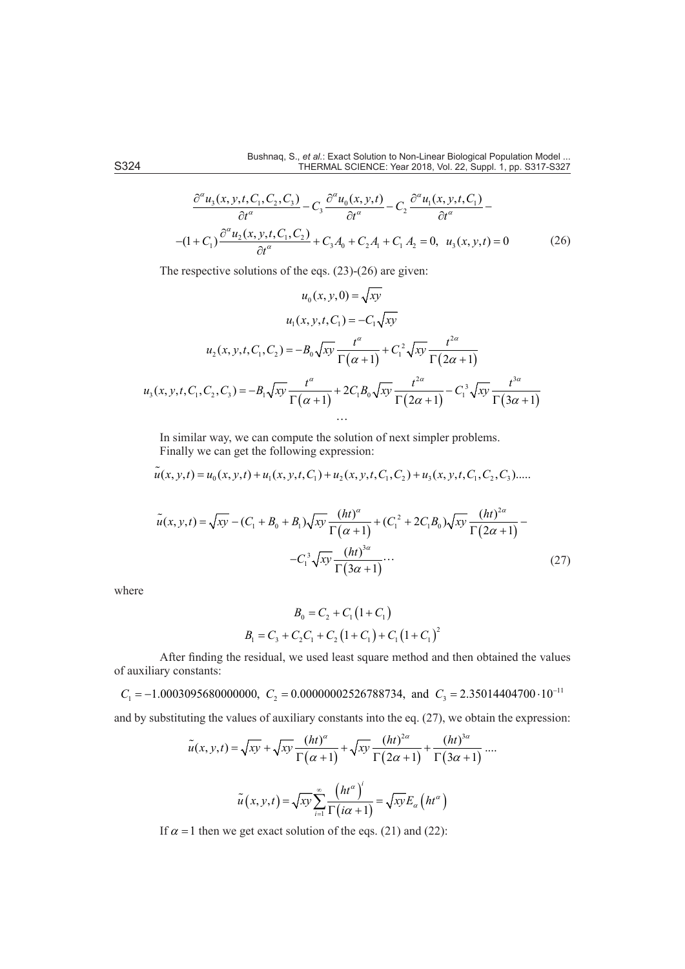$$
\frac{\partial^{\alpha} u_3(x, y, t, C_1, C_2, C_3)}{\partial t^{\alpha}} - C_3 \frac{\partial^{\alpha} u_0(x, y, t)}{\partial t^{\alpha}} - C_2 \frac{\partial^{\alpha} u_1(x, y, t, C_1)}{\partial t^{\alpha}} -
$$
  
-(1 + C<sub>1</sub>) $\frac{\partial^{\alpha} u_2(x, y, t, C_1, C_2)}{\partial t^{\alpha}} + C_3 A_0 + C_2 A_1 + C_1 A_2 = 0, u_3(x, y, t) = 0$  (26)

The respective solutions of the eqs. (23)-(26) are given:

$$
u_0(x, y, 0) = \sqrt{xy}
$$
  
\n
$$
u_1(x, y, t, C_1) = -C_1 \sqrt{xy}
$$
  
\n
$$
u_2(x, y, t, C_1, C_2) = -B_0 \sqrt{xy} \frac{t^{\alpha}}{\Gamma(\alpha + 1)} + C_1^2 \sqrt{xy} \frac{t^{2\alpha}}{\Gamma(2\alpha + 1)}
$$
  
\n
$$
u_3(x, y, t, C_1, C_2, C_3) = -B_1 \sqrt{xy} \frac{t^{\alpha}}{\Gamma(\alpha + 1)} + 2C_1 B_0 \sqrt{xy} \frac{t^{2\alpha}}{\Gamma(2\alpha + 1)} - C_1^3 \sqrt{xy} \frac{t^{3\alpha}}{\Gamma(3\alpha + 1)}
$$
  
\n...

In similar way, we can compute the solution of next simpler problems. Finally we can get the following expression:

$$
\tilde{u}(x, y, t) = u_0(x, y, t) + u_1(x, y, t, C_1) + u_2(x, y, t, C_1, C_2) + u_3(x, y, t, C_1, C_2, C_3) \dots
$$

$$
\tilde{u}(x, y, t) = \sqrt{xy} - (C_1 + B_0 + B_1)\sqrt{xy} \frac{(ht)^{\alpha}}{\Gamma(\alpha + 1)} + (C_1^2 + 2C_1B_0)\sqrt{xy} \frac{(ht)^{2\alpha}}{\Gamma(2\alpha + 1)} - C_1^3 \sqrt{xy} \frac{(ht)^{3\alpha}}{\Gamma(3\alpha + 1)} \cdots
$$
\n(27)

where

$$
B_0 = C_2 + C_1 (1 + C_1)
$$
  

$$
B_1 = C_3 + C_2 C_1 + C_2 (1 + C_1) + C_1 (1 + C_1)^2
$$

After finding the residual, we used least square method and then obtained the values of auxiliary constants:

 $C_1 = -1.0003095680000000$ ,  $C_2 = 0.00000002526788734$ , and  $C_3 = 2.35014404700 \cdot 10^{-11}$ 

and by substituting the values of auxiliary constants into the eq. (27), we obtain the expression:

$$
\tilde{u}(x, y, t) = \sqrt{xy} + \sqrt{xy} \frac{(ht)^{\alpha}}{\Gamma(\alpha + 1)} + \sqrt{xy} \frac{(ht)^{2\alpha}}{\Gamma(2\alpha + 1)} + \frac{(ht)^{3\alpha}}{\Gamma(3\alpha + 1)} \cdots
$$

$$
\tilde{u}(x, y, t) = \sqrt{xy} \sum_{i=1}^{\infty} \frac{(ht^{\alpha})^i}{\Gamma(i\alpha + 1)} = \sqrt{xy} E_{\alpha} (ht^{\alpha})
$$

If  $\alpha$  = 1 then we get exact solution of the eqs. (21) and (22):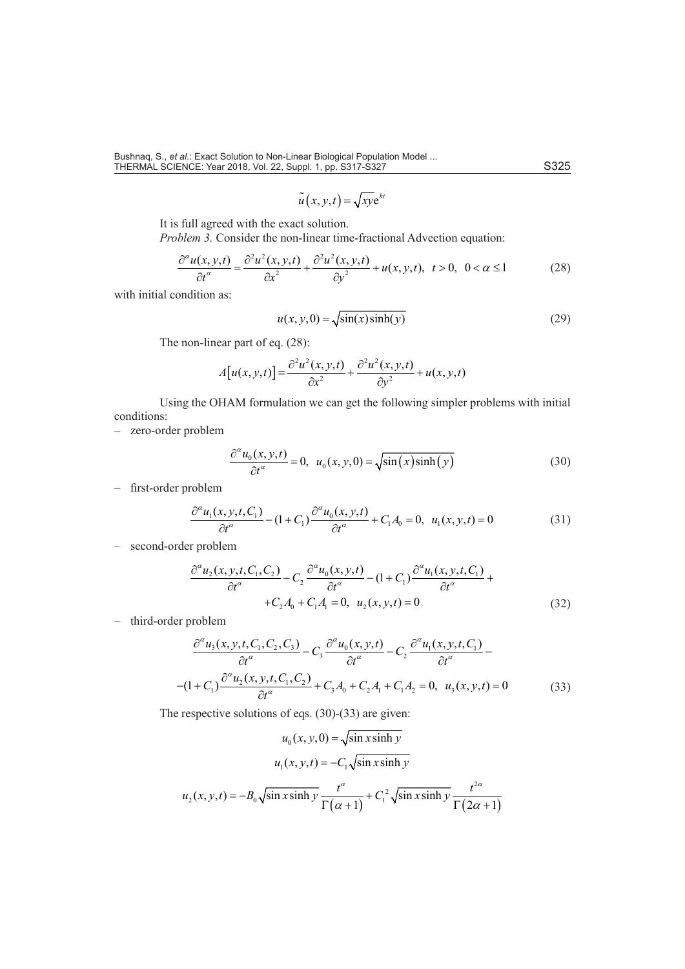$$
\widetilde{u}(x, y, t) = \sqrt{xy} e^{ht}
$$

It is full agreed with the exact solution.

*Problem 3.* Consider the non-linear time-fractional Advection equation:

$$
\frac{\partial^{\alpha} u(x, y, t)}{\partial t^{\alpha}} = \frac{\partial^2 u^2(x, y, t)}{\partial x^2} + \frac{\partial^2 u^2(x, y, t)}{\partial y^2} + u(x, y, t), \quad t > 0, \quad 0 < \alpha \le 1
$$
 (28)

with initial condition as:

$$
u(x, y, 0) = \sqrt{\sin(x)\sinh(y)}\tag{29}
$$

The non-linear part of eq. (28):

$$
A[u(x, y, t)] = \frac{\partial^2 u^2(x, y, t)}{\partial x^2} + \frac{\partial^2 u^2(x, y, t)}{\partial y^2} + u(x, y, t)
$$

Using the OHAM formulation we can get the following simpler problems with initial conditions:

– zero-order problem

$$
\frac{\partial^{\alpha} u_0(x, y, t)}{\partial t^{\alpha}} = 0, \ u_0(x, y, 0) = \sqrt{\sin(x)\sinh(y)}\tag{30}
$$

– first-order problem

$$
\frac{\partial^{\alpha} u_1(x, y, t, C_1)}{\partial t^{\alpha}} - (1 + C_1) \frac{\partial^{\alpha} u_0(x, y, t)}{\partial t^{\alpha}} + C_1 A_0 = 0, \ u_1(x, y, t) = 0
$$
\n(31)

– second-order problem

$$
\frac{\partial^{\alpha} u_2(x, y, t, C_1, C_2)}{\partial t^{\alpha}} - C_2 \frac{\partial^{\alpha} u_0(x, y, t)}{\partial t^{\alpha}} - (1 + C_1) \frac{\partial^{\alpha} u_1(x, y, t, C_1)}{\partial t^{\alpha}} + C_2 A_0 + C_1 A_1 = 0, \ u_2(x, y, t) = 0
$$
\n(32)

– third-order problem

$$
\frac{\partial^{\alpha} u_3(x, y, t, C_1, C_2, C_3)}{\partial t^{\alpha}} - C_3 \frac{\partial^{\alpha} u_0(x, y, t)}{\partial t^{\alpha}} - C_2 \frac{\partial^{\alpha} u_1(x, y, t, C_1)}{\partial t^{\alpha}} -
$$
  
-(1 + C<sub>1</sub>) $\frac{\partial^{\alpha} u_2(x, y, t, C_1, C_2)}{\partial t^{\alpha}} + C_3 A_0 + C_2 A_1 + C_1 A_2 = 0, u_3(x, y, t) = 0$  (33)

The respective solutions of eqs. (30)-(33) are given:

$$
u_0(x, y, 0) = \sqrt{\sin x \sinh y}
$$

$$
u_1(x, y, t) = -C_1 \sqrt{\sin x \sinh y}
$$

$$
u_2(x, y, t) = -B_0 \sqrt{\sin x \sinh y} \frac{t^{\alpha}}{\Gamma(\alpha + 1)} + C_1^2 \sqrt{\sin x \sinh y} \frac{t^{2\alpha}}{\Gamma(2\alpha + 1)}
$$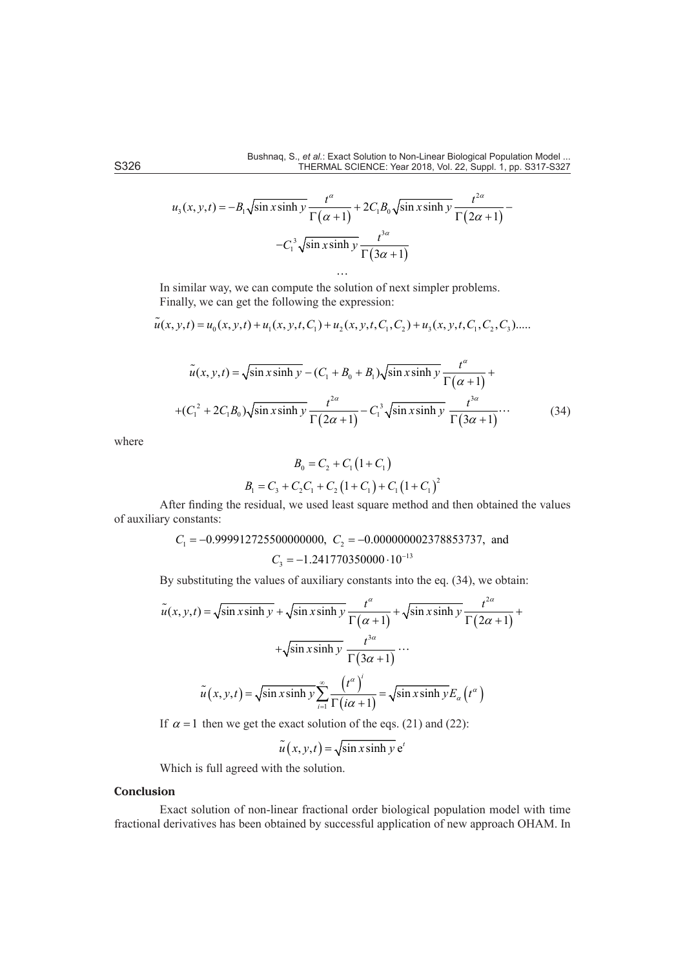$$
u_3(x, y, t) = -B_1 \sqrt{\sin x \sinh y} \frac{t^{\alpha}}{\Gamma(\alpha + 1)} + 2C_1 B_0 \sqrt{\sin x \sinh y} \frac{t^{2\alpha}}{\Gamma(2\alpha + 1)} -C_1^3 \sqrt{\sin x \sinh y} \frac{t^{3\alpha}}{\Gamma(3\alpha + 1)}
$$

 $\ddotsc$ 

In similar way, we can compute the solution of next simpler problems. Finally, we can get the following the expression:

$$
\tilde{u}(x, y, t) = u_0(x, y, t) + u_1(x, y, t, C_1) + u_2(x, y, t, C_1, C_2) + u_3(x, y, t, C_1, C_2, C_3) \dots
$$

$$
\tilde{u}(x, y, t) = \sqrt{\sin x \sinh y} - (C_1 + B_0 + B_1)\sqrt{\sin x \sinh y} \frac{t^{\alpha}}{\Gamma(\alpha + 1)} +
$$
  
+
$$
(C_1^2 + 2C_1B_0)\sqrt{\sin x \sinh y} \frac{t^{2\alpha}}{\Gamma(2\alpha + 1)} - C_1^3\sqrt{\sin x \sinh y} \frac{t^{3\alpha}}{\Gamma(3\alpha + 1)} \cdots
$$
(34)

where

$$
B_0 = C_2 + C_1 (1 + C_1)
$$
  

$$
B_1 = C_3 + C_2 C_1 + C_2 (1 + C_1) + C_1 (1 + C_1)^2
$$

After finding the residual, we used least square method and then obtained the values of auxiliary constants:

$$
C_1 = -0.999912725500000000, C_2 = -0.000000002378853737, and
$$

$$
C_3 = -1.241770350000 \cdot 10^{-13}
$$

By substituting the values of auxiliary constants into the eq. (34), we obtain:

$$
\tilde{u}(x, y, t) = \sqrt{\sin x \sinh y} + \sqrt{\sin x \sinh y} \frac{t^{\alpha}}{\Gamma(\alpha + 1)} + \sqrt{\sin x \sinh y} \frac{t^{2\alpha}}{\Gamma(2\alpha + 1)} + \sqrt{\sin x \sinh y} \frac{t^{3\alpha}}{\Gamma(3\alpha + 1)} \cdots
$$

$$
\tilde{u}(x, y, t) = \sqrt{\sin x \sinh y} \sum_{i=1}^{\infty} \frac{(t^{\alpha})^i}{\Gamma(i\alpha + 1)} = \sqrt{\sin x \sinh y} E_{\alpha}(t^{\alpha})
$$

If  $\alpha = 1$  then we get the exact solution of the eqs. (21) and (22):

$$
\widetilde{u}(x, y, t) = \sqrt{\sin x \sinh y} e^{t}
$$

Which is full agreed with the solution.

# **Conclusion**

Exact solution of non-linear fractional order biological population model with time fractional derivatives has been obtained by successful application of new approach OHAM. In